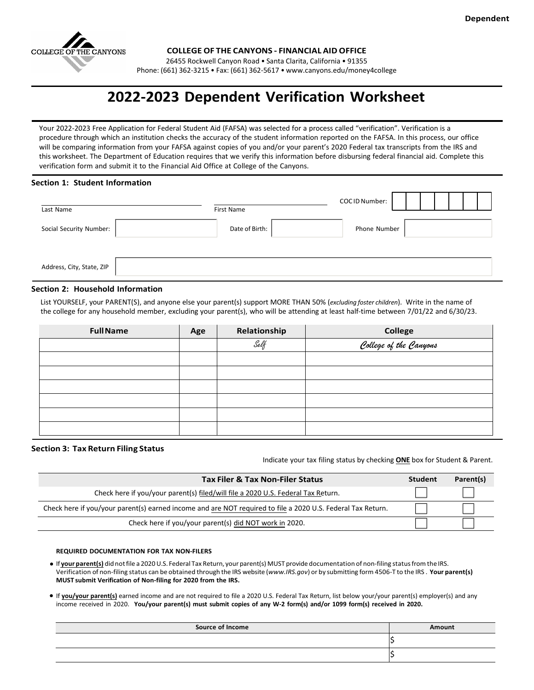

**COLLEGE OF THE CANYONS - FINANCIAL AID OFFICE**

26455 Rockwell Canyon Road • Santa Clarita, California • 91355

Phone: (661) 362-3215 • Fax: (661) 362-5617 [• www.canyons.edu/money4college](http://www.canyons.edu/money4college)

# **2022-2023 Dependent Verification Worksheet**

Your 2022-2023 Free Application for Federal Student Aid (FAFSA) was selected for a process called "verification". Verification is a procedure through which an institution checks the accuracy of the student information reported on the FAFSA. In this process, our office will be comparing information from your FAFSA against copies of you and/or your parent's 2020 Federal tax transcripts from the IRS and this worksheet. The Department of Education requires that we verify this information before disbursing federal financial aid. Complete this verification form and submit it to the Financial Aid Office at College of the Canyons.

## **Section 1: Student Information**

| Last Name                 | COCID Number:<br>First Name    |  |  |  |
|---------------------------|--------------------------------|--|--|--|
| Social Security Number:   | Date of Birth:<br>Phone Number |  |  |  |
|                           |                                |  |  |  |
| Address, City, State, ZIP |                                |  |  |  |

## **Section 2: Household Information**

List YOURSELF, your PARENT(S), and anyone else your parent(s) support MORE THAN 50% (*excluding foster children*). Write in the name of the college for any household member, excluding your parent(s), who will be attending at least half-time between 7/01/22 and 6/30/23.

| <b>FullName</b> | Age | Relationship | <b>College</b>         |
|-----------------|-----|--------------|------------------------|
|                 |     | Self         | College of the Canyons |
|                 |     |              |                        |
|                 |     |              |                        |
|                 |     |              |                        |
|                 |     |              |                        |
|                 |     |              |                        |
|                 |     |              |                        |

## **Section 3: Tax Return Filing Status**

Indicate your tax filing status by checking **ONE** box for Student & Parent.

| <b>Tax Filer &amp; Tax Non-Filer Status</b>                                                                 | <b>Student</b> | Parent(s) |
|-------------------------------------------------------------------------------------------------------------|----------------|-----------|
| Check here if you/your parent(s) filed/will file a 2020 U.S. Federal Tax Return.                            |                |           |
| Check here if you/your parent(s) earned income and are NOT required to file a 2020 U.S. Federal Tax Return. |                |           |
| Check here if you/your parent(s) did NOT work in 2020.                                                      |                |           |

## **REQUIRED DOCUMENTATION FOR TAX NON-FILERS**

If **your parent(s)** did notfile a 2020U.S. Federal Tax Return, your parent(s) MUST provide documentation of non-filing statusfrom the IRS. Verification of non-filing status can be obtained through the IRS website (*www.IRS.gov*) or by submitting form 4506-T to the IRS . **Your parent(s) MUST submit Verification of Non-filing for 2020 from the IRS.**

If **you/your parent(s)** earned income and are not required to file a 2020 U.S. Federal Tax Return, list below your/your parent(s) employer(s) and any income received in 2020. **You/your parent(s) must submit copies of any W-2 form(s) and/or 1099 form(s) received in 2020.**

| <b>Source of Income</b> | Amount |
|-------------------------|--------|
|                         |        |
|                         |        |